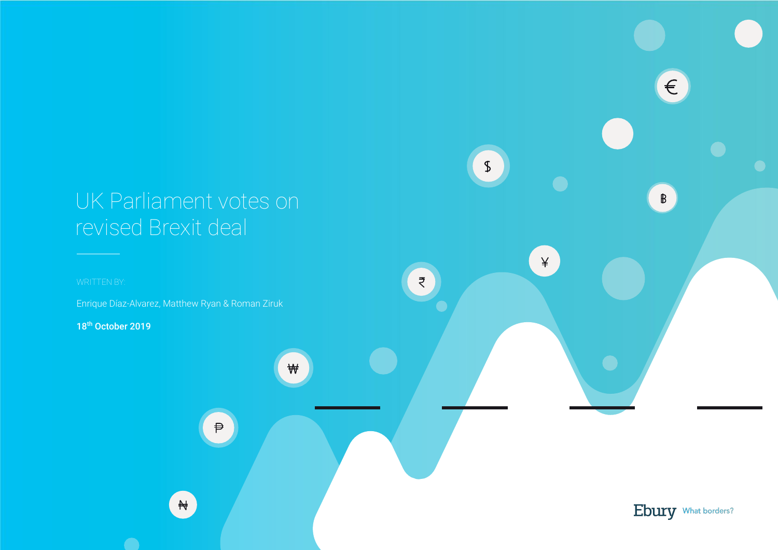# UK Parliament votes on revised Brexit deal

Enrique Díaz-Alvarez, Matthew Ryan & Roman Ziruk

18<sup>th</sup> October 2019



 $\sqrt{2}$ 

 $\epsilon$ 

 $\mathbb{B}$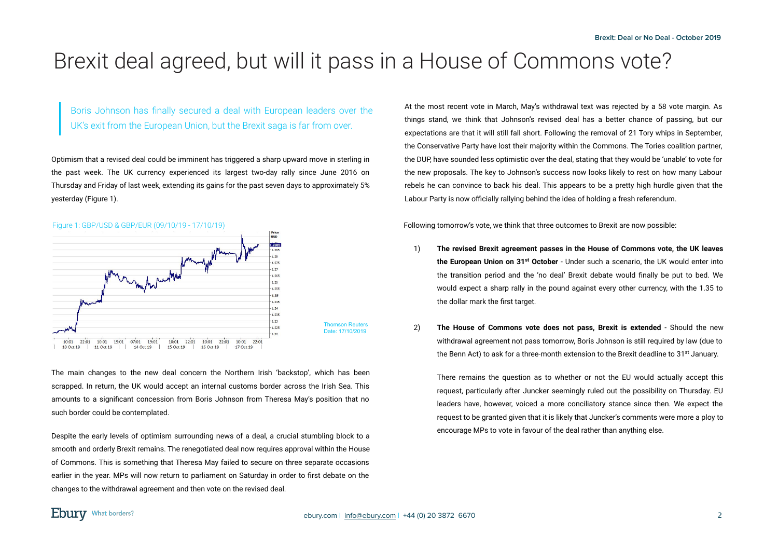## Brexit deal agreed, but will it pass in a House of Commons vote?

Boris Johnson has finally secured a deal with European leaders over the UK's exit from the European Union, but the Brexit saga is far from over.

Optimism that a revised deal could be imminent has triggered a sharp upward move in sterling in the past week. The UK currency experienced its largest two-day rally since June 2016 on Thursday and Friday of last week, extending its gains for the past seven days to approximately 5% yesterday (Figure 1).



The main changes to the new deal concern the Northern Irish 'backstop', which has been scrapped. In return, the UK would accept an internal customs border across the Irish Sea. This amounts to a significant concession from Boris Johnson from Theresa May's position that no such border could be contemplated.

Despite the early levels of optimism surrounding news of a deal, a crucial stumbling block to a smooth and orderly Brexit remains. The renegotiated deal now requires approval within the House of Commons. This is something that Theresa May failed to secure on three separate occasions earlier in the year. MPs will now return to parliament on Saturday in order to first debate on the changes to the withdrawal agreement and then vote on the revised deal.

At the most recent vote in March, May's withdrawal text was rejected by a 58 vote margin. As things stand, we think that Johnson's revised deal has a better chance of passing, but our expectations are that it will still fall short. Following the removal of 21 Tory whips in September, the Conservative Party have lost their majority within the Commons. The Tories coalition partner, the DUP, have sounded less optimistic over the deal, stating that they would be 'unable' to vote for the new proposals. The key to Johnson's success now looks likely to rest on how many Labour rebels he can convince to back his deal. This appears to be a pretty high hurdle given that the Labour Party is now officially rallying behind the idea of holding a fresh referendum.

Following tomorrow's vote, we think that three outcomes to Brexit are now possible:

- 1) **The revised Brexit agreement passes in the House of Commons vote, the UK leaves the European Union on 31st October** - Under such a scenario, the UK would enter into the transition period and the 'no deal' Brexit debate would finally be put to bed. We would expect a sharp rally in the pound against every other currency, with the 1.35 to the dollar mark the first target.
- 2) **The House of Commons vote does not pass, Brexit is extended** Should the new withdrawal agreement not pass tomorrow, Boris Johnson is still required by law (due to the Benn Act) to ask for a three-month extension to the Brexit deadline to  $31<sup>st</sup>$  January.

There remains the question as to whether or not the EU would actually accept this request, particularly after Juncker seemingly ruled out the possibility on Thursday. EU leaders have, however, voiced a more conciliatory stance since then. We expect the request to be granted given that it is likely that Juncker's comments were more a ploy to encourage MPs to vote in favour of the deal rather than anything else.

### **Ebury** What borders?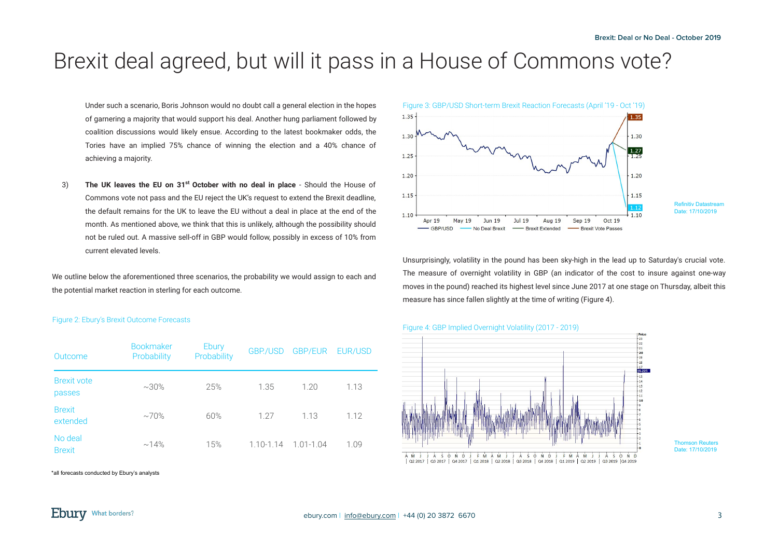## Brexit deal agreed, but will it pass in a House of Commons vote?

Under such a scenario, Boris Johnson would no doubt call a general election in the hopes of garnering a majority that would support his deal. Another hung parliament followed by coalition discussions would likely ensue. According to the latest bookmaker odds, the Tories have an implied 75% chance of winning the election and a 40% chance of achieving a majority.

3) **The UK leaves the EU on 31st October with no deal in place** - Should the House of Commons vote not pass and the EU reject the UK's request to extend the Brexit deadline, the default remains for the UK to leave the EU without a deal in place at the end of the month. As mentioned above, we think that this is unlikely, although the possibility should not be ruled out. A massive sell-off in GBP would follow, possibly in excess of 10% from current elevated levels.

We outline below the aforementioned three scenarios, the probability we would assign to each and the potential market reaction in sterling for each outcome.

#### Figure 2: Ebury's Brexit Outcome Forecasts

| Outcome                      | <b>Bookmaker</b><br>Probability | Ebury<br>Probability | GBP./USD      | <b>GBP/EUR</b> | EUR/USD |
|------------------------------|---------------------------------|----------------------|---------------|----------------|---------|
| <b>Brexit vote</b><br>passes | $~1.30\%$                       | 25%                  | 1.35          | 1.20           | 1.13    |
| <b>Brexit</b><br>extended    | $\sim 70\%$                     | 60%                  | 1.27          | 1.13           | 1.12    |
| No deal<br><b>Brexit</b>     | $~14\%$                         | 15%                  | $1.10 - 1.14$ | $1.01 - 1.04$  | 1.09    |

\*all forecasts conducted by Ebury's analysts



Unsurprisingly, volatility in the pound has been sky-high in the lead up to Saturday's crucial vote. The measure of overnight volatility in GBP (an indicator of the cost to insure against one-way moves in the pound) reached its highest level since June 2017 at one stage on Thursday, albeit this measure has since fallen slightly at the time of writing (Figure 4).

#### Figure 4: GBP Implied Overnight Volatility (2017 - 2019)



#### Thomson Reuters Date: 17/10/2019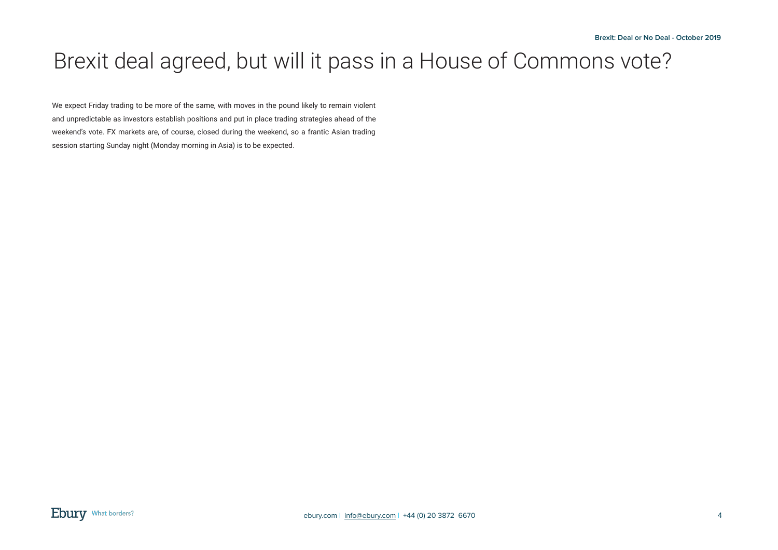# Brexit deal agreed, but will it pass in a House of Commons vote?

We expect Friday trading to be more of the same, with moves in the pound likely to remain violent and unpredictable as investors establish positions and put in place trading strategies ahead of the weekend's vote. FX markets are, of course, closed during the weekend, so a frantic Asian trading session starting Sunday night (Monday morning in Asia) is to be expected.